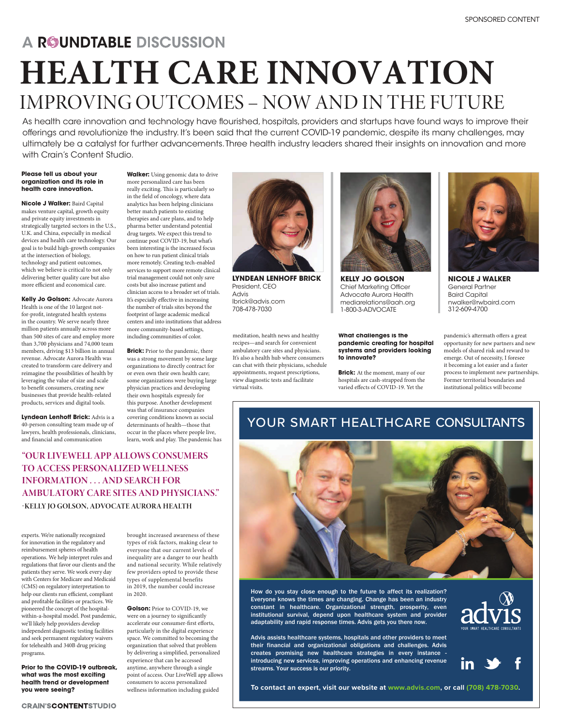# A ROUNDTABLE DISCUSSION **HEALTH CARE INNOVATION** IMPROVING OUTCOMES – NOW AND IN THE FUTURE

As health care innovation and technology have flourished, hospitals, providers and startups have found ways to improve their offerings and revolutionize the industry. It's been said that the current COVID-19 pandemic, despite its many challenges, may ultimately be a catalyst for further advancements. Three health industry leaders shared their insights on innovation and more with Crain's Content Studio.

#### **Please tell us about your organization and its role in health care innovation.**

**Nicole J Walker:** Baird Capital makes venture capital, growth equity and private equity investments in strategically targeted sectors in the U.S., U.K. and China, especially in medical devices and health care technology. Our goal is to build high-growth companies at the intersection of biology, technology and patient outcomes, which we believe is critical to not only delivering better quality care but also more efficient and economical care.

**Kelly Jo Golson:** Advocate Aurora Health is one of the 10 largest notfor-profit, integrated health systems in the country. We serve nearly three million patients annually across more than 500 sites of care and employ more than 3,700 physicians and 74,000 team members, driving \$13 billion in annual revenue. Advocate Aurora Health was created to transform care delivery and reimagine the possibilities of health by leveraging the value of size and scale to benefit consumers, creating new businesses that provide health-related products, services and digital tools.

**Lyndean Lenhoff Brick:** Advis is a 40-person consulting team made up of lawyers, health professionals, clinicians, and financial and communication

**Walker:** Using genomic data to drive more personalized care has been really exciting. This is particularly so in the field of oncology, where data analytics has been helping clinicians better match patients to existing therapies and care plans, and to help pharma better understand potential drug targets. We expect this trend to continue post COVID-19, but what's been interesting is the increased focus on how to run patient clinical trials more remotely. Creating tech-enabled services to support more remote clinical trial management could not only save costs but also increase patient and clinician access to a broader set of trials. It's especially effective in increasing the number of trials sites beyond the footprint of large academic medical centers and into institutions that address more community-based settings, including communities of color.

**Brick:** Prior to the pandemic, there was a strong movement by some large organizations to directly contract for or even own their own health care; some organizations were buying large physician practices and developing their own hospitals expressly for this purpose. Another development was that of insurance companies covering conditions known as social determinants of health—those that occur in the places where people live, learn, work and play. The pandemic has

## **"OUR LIVEWELL APP ALLOWS CONSUMERS TO ACCESS PERSONALIZED WELLNESS INFORMATION . . . AND SEARCH FOR AMBULATORY CARE SITES AND PHYSICIANS." -KELLY JO GOLSON, ADVOCATE AURORA HEALTH**

experts. We're nationally recognized for innovation in the regulatory and reimbursement spheres of health operations. We help interpret rules and regulations that favor our clients and the patients they serve. We work every day with Centers for Medicare and Medicaid (CMS) on regulatory interpretation to help our clients run efficient, compliant and profitable facilities or practices. We pioneered the concept of the hospitalwithin-a-hospital model. Post pandemic, we'll likely help providers develop independent diagnostic testing facilities and seek permanent regulatory waivers for telehealth and 340B drug pricing programs.

**Prior to the COVID-19 outbreak, what was the most exciting health trend or development you were seeing?** 

brought increased awareness of these types of risk factors, making clear to everyone that our current levels of inequality are a danger to our health and national security. While relatively few providers opted to provide these types of supplemental benefits in 2019, the number could increase in 2020.

**Golson:** Prior to COVID-19, we were on a journey to significantly accelerate our consumer-first efforts, particularly in the digital experience space. We committed to becoming the organization that solved that problem by delivering a simplified, personalized experience that can be accessed anytime, anywhere through a single point of access. Our LiveWell app allows consumers to access personalized wellness information including guided



**LYNDEAN LENHOFF BRICK** President, CEO Advis lbrick@advis.com 708-478-7030

meditation, health news and healthy recipes—and search for convenient ambulatory care sites and physicians. It's also a health hub where consumers can chat with their physicians, schedule appointments, request prescriptions, view diagnostic tests and facilitate virtual visits.



**KELLY JO GOLSON** Chief Marketing Officer Advocate Aurora Health mediarelations@aah.org 1-800-3-ADVOCATE

**What challenges is the pandemic creating for hospital systems and providers looking to innovate?** 

**Brick:** At the moment, many of our hospitals are cash-strapped from the varied effects of COVID-19. Yet the



**NICOLE J WALKER** General Partner Baird Capital nwalker@rwbaird.com 312-609-4700

pandemic's aftermath offers a great opportunity for new partners and new models of shared risk and reward to emerge. Out of necessity, I foresee it becoming a lot easier and a faster process to implement new partnerships. Former territorial boundaries and institutional politics will become

## YOUR SMART HEALTHCARE CONSULTANTS



How do you stay close enough to the future to affect its realization? Everyone knows the times are changing. Change has been an industry constant in healthcare. Organizational strength, prosperity, even  $\overline{L}$  institutional survival, depend upon healthcare system and provider adaptability and rapid response times. Advis gets you there now.

Advis assists healthcare systems, hospitals and other providers to meet their financial and organizational obligations and challenges. Advis creates promising new healthcare strategies in every instance introducing new services, improving operations and enhancing revenue streams. Your success is our priority.





**To contact an expert, visit our website at www.advis.com, or call (708) 478-7030.**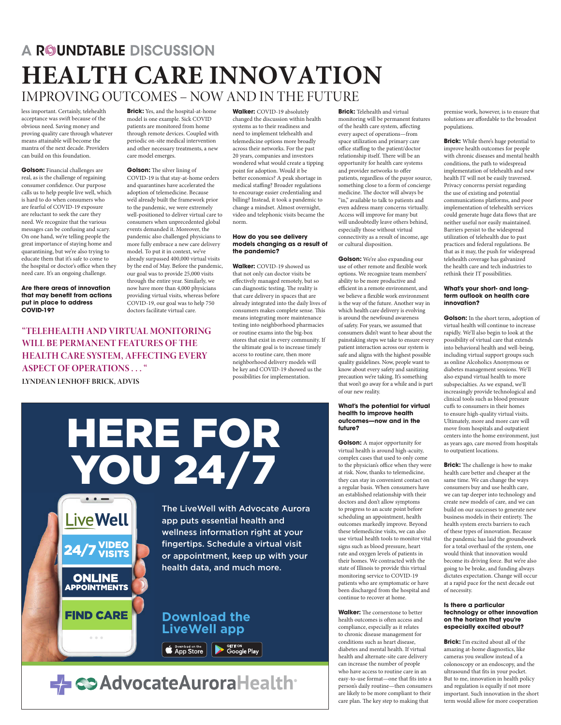## A R©UNDTABLE DISCUSSION **HEALTH CARE INNOVATION** IMPROVING OUTCOMES – NOW AND IN THE FUTURE

less important. Certainly, telehealth acceptance was swift because of the obvious need. Saving money and proving quality care through whatever means attainable will become the mantra of the next decade. Providers can build on this foundation.

**Golson:** Financial challenges are real, as is the challenge of regaining consumer confidence. Our purpose calls us to help people live well, which is hard to do when consumers who are fearful of COVID-19 exposure are reluctant to seek the care they need. We recognize that the various messages can be confusing and scary. On one hand, we're telling people the great importance of staying home and quarantining, but we're also trying to educate them that it's safe to come to the hospital or doctor's office when they need care. It's an ongoing challenge.

**Are there areas of innovation that may benefit from actions put in place to address COVID-19?** 

**Brick:** Yes, and the hospital-at-home model is one example. Sick COVID patients are monitored from home through remote devices. Coupled with periodic on-site medical intervention and other necessary treatments, a new care model emerges.

**Golson:** The silver lining of COVID-19 is that stay-at-home orders and quarantines have accelerated the adoption of telemedicine. Because we'd already built the framework prior to the pandemic, we were extremely well-positioned to deliver virtual care to consumers when unprecedented global events demanded it. Moreover, the pandemic also challenged physicians to more fully embrace a new care delivery model. To put it in context, we've already surpassed 400,000 virtual visits by the end of May. Before the pandemic, our goal was to provide 25,000 visits through the entire year. Similarly, we now have more than 4,000 physicians providing virtual visits, whereas before COVID-19, our goal was to help 750 doctors facilitate virtual care.

HERE FOR

## **"TELEHEALTH AND VIRTUAL MONITORING WILL BE PERMANENT FEATURES OF THE HEALTH CARE SYSTEM, AFFECTING EVERY ASPECT OF OPERATIONS . . . "**

**LYNDEAN LENHOFF BRICK, ADVIS**

**LiveWell** 

**ONLINE APPOINTMENTS** 

**FIND CARE** 

 $\label{eq:1} \alpha = \alpha - \alpha$ 

**/IDEO** 

changed the discussion within health systems as to their readiness and need to implement telehealth and telemedicine options more broadly across their networks. For the past 20 years, companies and investors wondered what would create a tipping point for adoption. Would it be better economics? A peak shortage in medical staffing? Broader regulations to encourage easier credentialing and billing? Instead, it took a pandemic to change a mindset. Almost overnight, video and telephonic visits became the norm.

**Walker:** COVID-19 absolutely

#### **How do you see delivery models changing as a result of the pandemic?**

**Walker:** COVID-19 showed us that not only can doctor visits be effectively managed remotely, but so can diagnostic testing. The reality is that care delivery in spaces that are already integrated into the daily lives of consumers makes complete sense. This means integrating more maintenance testing into neighborhood pharmacies or routine exams into the big-box stores that exist in every community. If the ultimate goal is to increase timely access to routine care, then more neighborhood delivery models will be key and COVID-19 showed us the possibilities for implementation.

monitoring will be permanent features of the health care system, affecting every aspect of operations—from space utilization and primary care office staffing to the patient/doctor relationship itself. There will be an opportunity for health care systems and provider networks to offer patients, regardless of the payor source, something close to a form of concierge medicine. The doctor will always be "in," available to talk to patients and even address many concerns virtually. Access will improve for many but will undoubtedly leave others behind, especially those without virtual connectivity as a result of income, age or cultural disposition.

**Brick:** Telehealth and virtual

**Golson:** We're also expanding our use of other remote and flexible work options. We recognize team members' ability to be more productive and efficient in a remote environment, and we believe a flexible work environment is the way of the future. Another way in which health care delivery is evolving is around the newfound awareness of safety. For years, we assumed that consumers didn't want to hear about the painstaking steps we take to ensure every patient interaction across our system is safe and aligns with the highest possible quality guidelines. Now, people want to know about every safety and sanitizing precaution we're taking. It's something that won't go away for a while and is part of our new reality.

#### **What's the potential for virtual health to improve health outcomes—now and in the future?**

**Golson:** A major opportunity for virtual health is around high-acuity, complex cases that used to only come to the physician's office when they were at risk. Now, thanks to telemedicine, they can stay in convenient contact on a regular basis. When consumers have an established relationship with their doctors and don't allow symptoms to progress to an acute point before scheduling an appointment, health outcomes markedly improve. Beyond these telemedicine visits, we can also use virtual health tools to monitor vital signs such as blood pressure, heart rate and oxygen levels of patients in their homes. We contracted with the state of Illinois to provide this virtual monitoring service to COVID-19 patients who are symptomatic or have been discharged from the hospital and continue to recover at home.

**Walker:** The cornerstone to better health outcomes is often access and compliance, especially as it relates to chronic disease management for conditions such as heart disease, diabetes and mental health. If virtual health and alternate-site care delivery can increase the number of people who have access to routine care in an easy-to-use format—one that fits into a person's daily routine—then consumers are likely to be more compliant to their care plan. The key step to making that

premise work, however, is to ensure that solutions are affordable to the broadest populations.

**Brick:** While there's huge potential to improve health outcomes for people with chronic diseases and mental health conditions, the path to widespread implementation of telehealth and new health IT will not be easily traversed. Privacy concerns persist regarding the use of existing and potential communications platforms, and poor implementation of telehealth services could generate huge data flows that are neither useful nor easily maintained. Barriers persist to the widespread utilization of telehealth due to past practices and federal regulations. Be that as it may, the push for widespread telehealth coverage has galvanized the health care and tech industries to rethink their IT possibilities.

#### **What's your short- and longterm outlook on health care innovation?**

**Golson:** In the short term, adoption of virtual health will continue to increase rapidly. We'll also begin to look at the possibility of virtual care that extends into behavioral health and well-being, including virtual support groups such as online Alcoholics Anonymous or diabetes management sessions. We'll also expand virtual health to more subspecialties. As we expand, we'll increasingly provide technological and clinical tools such as blood pressure cuffs to consumers in their homes to ensure high-quality virtual visits. Ultimately, more and more care will move from hospitals and outpatient centers into the home environment, just as years ago, care moved from hospitals to outpatient locations.

**Brick:** The challenge is how to make health care better and cheaper at the same time. We can change the ways consumers buy and use health care, we can tap deeper into technology and create new models of care, and we can build on our successes to generate new business models in their entirety. The health system erects barriers to each of these types of innovation. Because the pandemic has laid the groundwork for a total overhaul of the system, one would think that innovation would become its driving force. But we're also going to be broke, and funding always dictates expectation. Change will occur at a rapid pace for the next decade out of necessity.

#### **Is there a particular technology or other innovation on the horizon that you're especially excited about?**

**Brick:** I'm excited about all of the amazing at-home diagnostics, like cameras you swallow instead of a colonoscopy or an endoscopy, and the ultrasound that fits in your pocket. But to me, innovation in health policy and regulation is equally if not more important. Such innovation in the short term would allow for more cooperation

YOU 24/7 The LiveWell with Advocate Aurora app puts essential health and wellness information right at your fingertips. Schedule a virtual visit or appointment, keep up with your health data, and much more.

## **Download the LiveWell app**

**EDIT ON Download on the SET TON**<br> **App Store Buy** Google Play

- CO Advocate Aurora Health